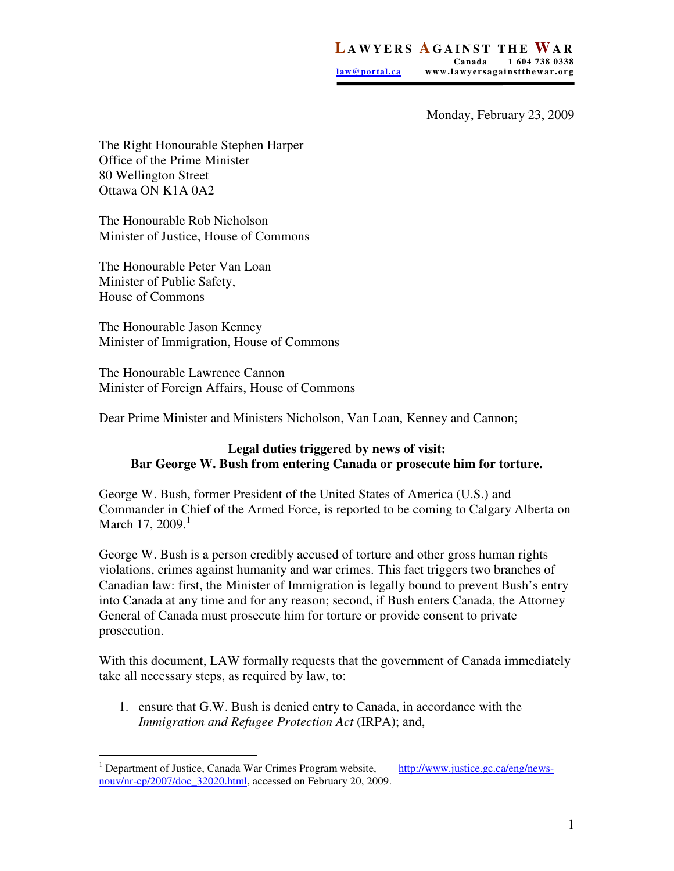Monday, February 23, 2009

The Right Honourable Stephen Harper Office of the Prime Minister 80 Wellington Street Ottawa ON K1A 0A2

The Honourable Rob Nicholson Minister of Justice, House of Commons

The Honourable Peter Van Loan Minister of Public Safety, House of Commons

 $\overline{a}$ 

The Honourable Jason Kenney Minister of Immigration, House of Commons

The Honourable Lawrence Cannon Minister of Foreign Affairs, House of Commons

Dear Prime Minister and Ministers Nicholson, Van Loan, Kenney and Cannon;

# **Legal duties triggered by news of visit: Bar George W. Bush from entering Canada or prosecute him for torture.**

George W. Bush, former President of the United States of America (U.S.) and Commander in Chief of the Armed Force, is reported to be coming to Calgary Alberta on March 17, 2009.<sup>1</sup>

George W. Bush is a person credibly accused of torture and other gross human rights violations, crimes against humanity and war crimes. This fact triggers two branches of Canadian law: first, the Minister of Immigration is legally bound to prevent Bush's entry into Canada at any time and for any reason; second, if Bush enters Canada, the Attorney General of Canada must prosecute him for torture or provide consent to private prosecution.

With this document, LAW formally requests that the government of Canada immediately take all necessary steps, as required by law, to:

1. ensure that G.W. Bush is denied entry to Canada, in accordance with the *Immigration and Refugee Protection Act* (IRPA); and,

<sup>&</sup>lt;sup>1</sup> Department of Justice, Canada War Crimes Program website, http://www.justice.gc.ca/eng/newsnouv/nr-cp/2007/doc\_32020.html, accessed on February 20, 2009.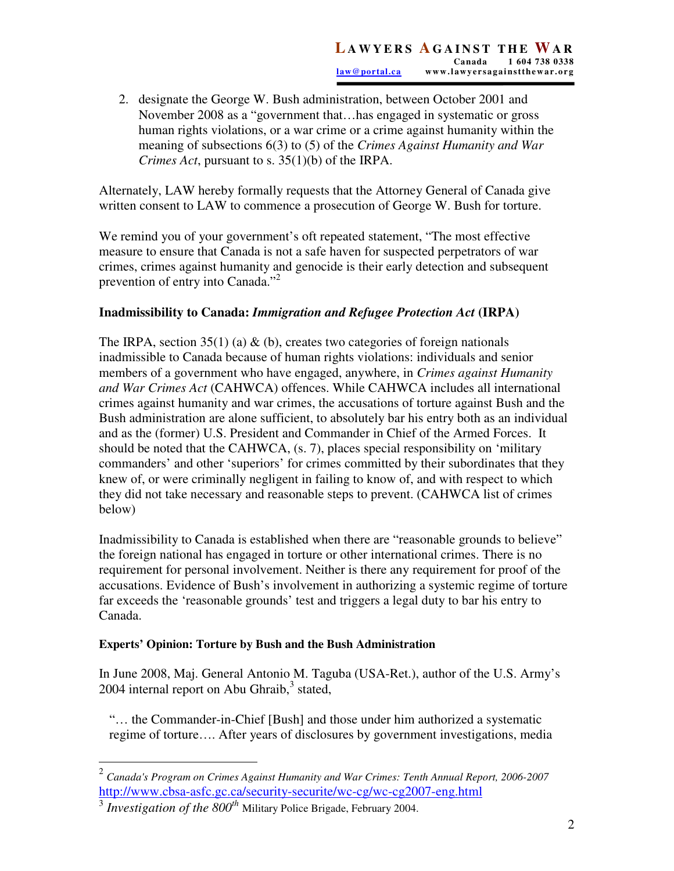2. designate the George W. Bush administration, between October 2001 and November 2008 as a "government that…has engaged in systematic or gross human rights violations, or a war crime or a crime against humanity within the meaning of subsections 6(3) to (5) of the *Crimes Against Humanity and War Crimes Act*, pursuant to s. 35(1)(b) of the IRPA.

Alternately, LAW hereby formally requests that the Attorney General of Canada give written consent to LAW to commence a prosecution of George W. Bush for torture.

We remind you of your government's oft repeated statement, "The most effective measure to ensure that Canada is not a safe haven for suspected perpetrators of war crimes, crimes against humanity and genocide is their early detection and subsequent prevention of entry into Canada."<sup>2</sup>

# **Inadmissibility to Canada:** *Immigration and Refugee Protection Act* **(IRPA)**

The IRPA, section 35(1) (a)  $\&$  (b), creates two categories of foreign nationals inadmissible to Canada because of human rights violations: individuals and senior members of a government who have engaged, anywhere, in *Crimes against Humanity and War Crimes Act* (CAHWCA) offences. While CAHWCA includes all international crimes against humanity and war crimes, the accusations of torture against Bush and the Bush administration are alone sufficient, to absolutely bar his entry both as an individual and as the (former) U.S. President and Commander in Chief of the Armed Forces. It should be noted that the CAHWCA, (s. 7), places special responsibility on 'military commanders' and other 'superiors' for crimes committed by their subordinates that they knew of, or were criminally negligent in failing to know of, and with respect to which they did not take necessary and reasonable steps to prevent. (CAHWCA list of crimes below)

Inadmissibility to Canada is established when there are "reasonable grounds to believe" the foreign national has engaged in torture or other international crimes. There is no requirement for personal involvement. Neither is there any requirement for proof of the accusations. Evidence of Bush's involvement in authorizing a systemic regime of torture far exceeds the 'reasonable grounds' test and triggers a legal duty to bar his entry to Canada.

# **Experts' Opinion: Torture by Bush and the Bush Administration**

In June 2008, Maj. General Antonio M. Taguba (USA-Ret.), author of the U.S. Army's  $2004$  internal report on Abu Ghraib,<sup>3</sup> stated,

"… the Commander-in-Chief [Bush] and those under him authorized a systematic regime of torture…. After years of disclosures by government investigations, media

 $\overline{a}$ 

<sup>2</sup> *Canada's Program on Crimes Against Humanity and War Crimes: Tenth Annual Report, 2006-2007*  http://www.cbsa-asfc.gc.ca/security-securite/wc-cg/wc-cg2007-eng.html

<sup>3</sup> *Investigation of the 800th* Military Police Brigade, February 2004.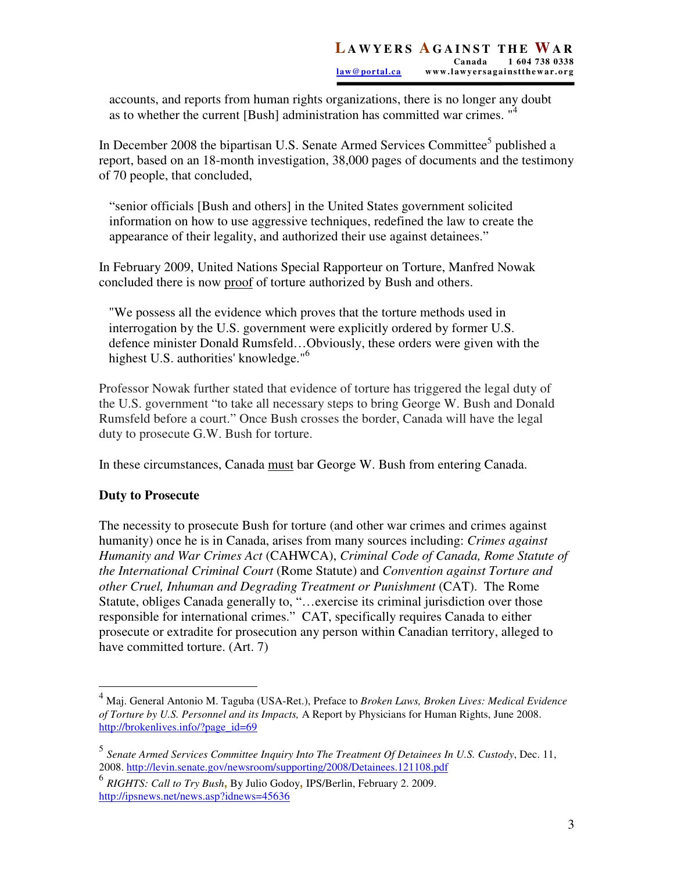accounts, and reports from human rights organizations, there is no longer any doubt as to whether the current [Bush] administration has committed war crimes. "<sup>4</sup>

In December 2008 the bipartisan U.S. Senate Armed Services Committee<sup>5</sup> published a report, based on an 18-month investigation, 38,000 pages of documents and the testimony of 70 people, that concluded,

"senior officials [Bush and others] in the United States government solicited information on how to use aggressive techniques, redefined the law to create the appearance of their legality, and authorized their use against detainees."

In February 2009, United Nations Special Rapporteur on Torture, Manfred Nowak concluded there is now proof of torture authorized by Bush and others.

"We possess all the evidence which proves that the torture methods used in interrogation by the U.S. government were explicitly ordered by former U.S. defence minister Donald Rumsfeld…Obviously, these orders were given with the highest U.S. authorities' knowledge."<sup>6</sup>

Professor Nowak further stated that evidence of torture has triggered the legal duty of the U.S. government "to take all necessary steps to bring George W. Bush and Donald Rumsfeld before a court." Once Bush crosses the border, Canada will have the legal duty to prosecute G.W. Bush for torture.

In these circumstances, Canada must bar George W. Bush from entering Canada.

# **Duty to Prosecute**

 $\overline{a}$ 

The necessity to prosecute Bush for torture (and other war crimes and crimes against humanity) once he is in Canada, arises from many sources including: *Crimes against Humanity and War Crimes Act* (CAHWCA), *Criminal Code of Canada, Rome Statute of the International Criminal Court* (Rome Statute) and *Convention against Torture and other Cruel, Inhuman and Degrading Treatment or Punishment* (CAT). The Rome Statute, obliges Canada generally to, "…exercise its criminal jurisdiction over those responsible for international crimes." CAT, specifically requires Canada to either prosecute or extradite for prosecution any person within Canadian territory, alleged to have committed torture. (Art. 7)

<sup>4</sup> Maj. General Antonio M. Taguba (USA-Ret.), Preface to *Broken Laws, Broken Lives: Medical Evidence of Torture by U.S. Personnel and its Impacts,* A Report by Physicians for Human Rights, June 2008. http://brokenlives.info/?page\_id=69

<sup>5</sup> *Senate Armed Services Committee Inquiry Into The Treatment Of Detainees In U.S. Custody*, Dec. 11, 2008. http://levin.senate.gov/newsroom/supporting/2008/Detainees.121108.pdf

<sup>6</sup> *RIGHTS: Call to Try Bush***,** By Julio Godoy**,** IPS/Berlin, February 2. 2009. http://ipsnews.net/news.asp?idnews=45636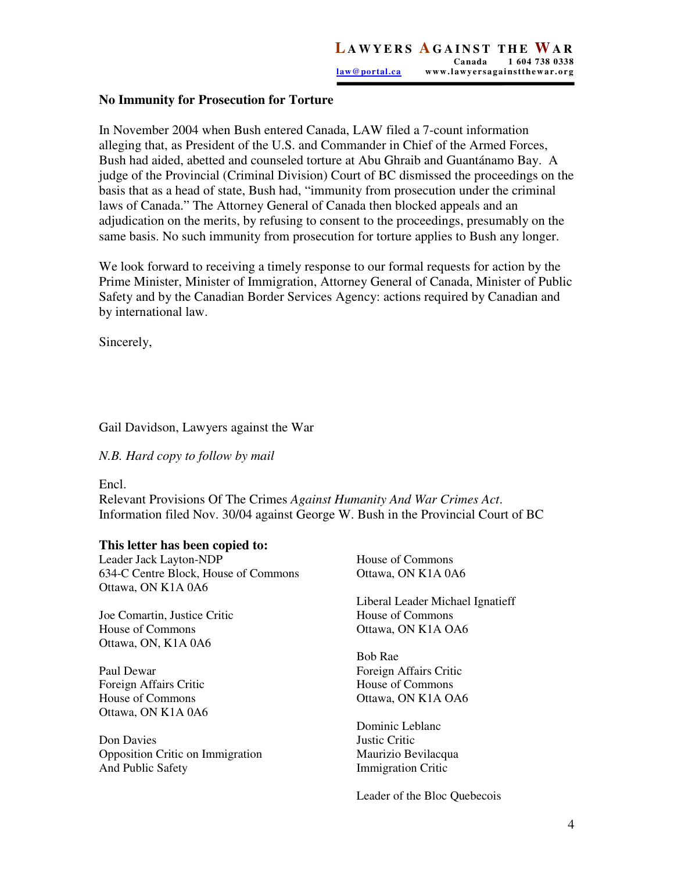# **No Immunity for Prosecution for Torture**

In November 2004 when Bush entered Canada, LAW filed a 7-count information alleging that, as President of the U.S. and Commander in Chief of the Armed Forces, Bush had aided, abetted and counseled torture at Abu Ghraib and Guantánamo Bay. A judge of the Provincial (Criminal Division) Court of BC dismissed the proceedings on the basis that as a head of state, Bush had, "immunity from prosecution under the criminal laws of Canada." The Attorney General of Canada then blocked appeals and an adjudication on the merits, by refusing to consent to the proceedings, presumably on the same basis. No such immunity from prosecution for torture applies to Bush any longer.

We look forward to receiving a timely response to our formal requests for action by the Prime Minister, Minister of Immigration, Attorney General of Canada, Minister of Public Safety and by the Canadian Border Services Agency: actions required by Canadian and by international law.

Sincerely,

# Gail Davidson, Lawyers against the War

# *N.B. Hard copy to follow by mail*

Encl.

Relevant Provisions Of The Crimes *Against Humanity And War Crimes Act*. Information filed Nov. 30/04 against George W. Bush in the Provincial Court of BC

# **This letter has been copied to:**

Leader Jack Layton-NDP 634-C Centre Block, House of Commons Ottawa, ON K1A 0A6

Joe Comartin, Justice Critic House of Commons Ottawa, ON, K1A 0A6

Paul Dewar Foreign Affairs Critic House of Commons Ottawa, ON K1A 0A6

Don Davies Opposition Critic on Immigration And Public Safety

House of Commons Ottawa, ON K1A 0A6

Liberal Leader Michael Ignatieff House of Commons Ottawa, ON K1A OA6

Bob Rae Foreign Affairs Critic House of Commons Ottawa, ON K1A OA6

Dominic Leblanc Justic Critic Maurizio Bevilacqua Immigration Critic

Leader of the Bloc Quebecois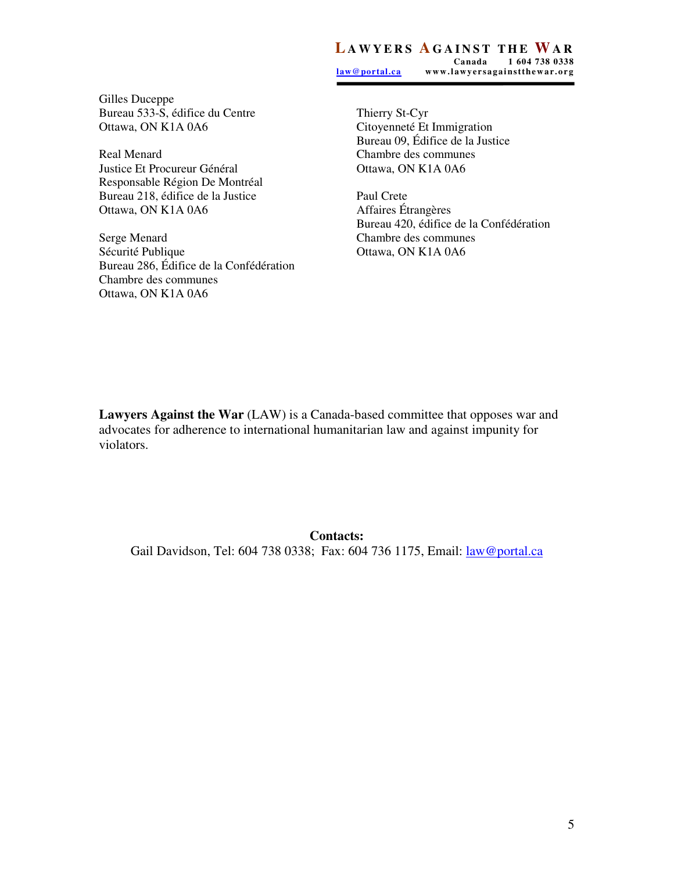Gilles Duceppe Bureau 533-S, édifice du Centre Ottawa, ON K1A 0A6

Real Menard Justice Et Procureur Général Responsable Région De Montréal Bureau 218, édifice de la Justice Ottawa, ON K1A 0A6

Serge Menard Sécurité Publique Bureau 286, Édifice de la Confédération Chambre des communes Ottawa, ON K1A 0A6

Thierry St-Cyr Citoyenneté Et Immigration Bureau 09, Édifice de la Justice Chambre des communes Ottawa, ON K1A 0A6

Paul Crete Affaires Étrangères Bureau 420, édifice de la Confédération Chambre des communes Ottawa, ON K1A 0A6

**Lawyers Against the War** (LAW) is a Canada-based committee that opposes war and advocates for adherence to international humanitarian law and against impunity for violators.

**Contacts:**

Gail Davidson, Tel: 604 738 0338; Fax: 604 736 1175, Email: law@portal.ca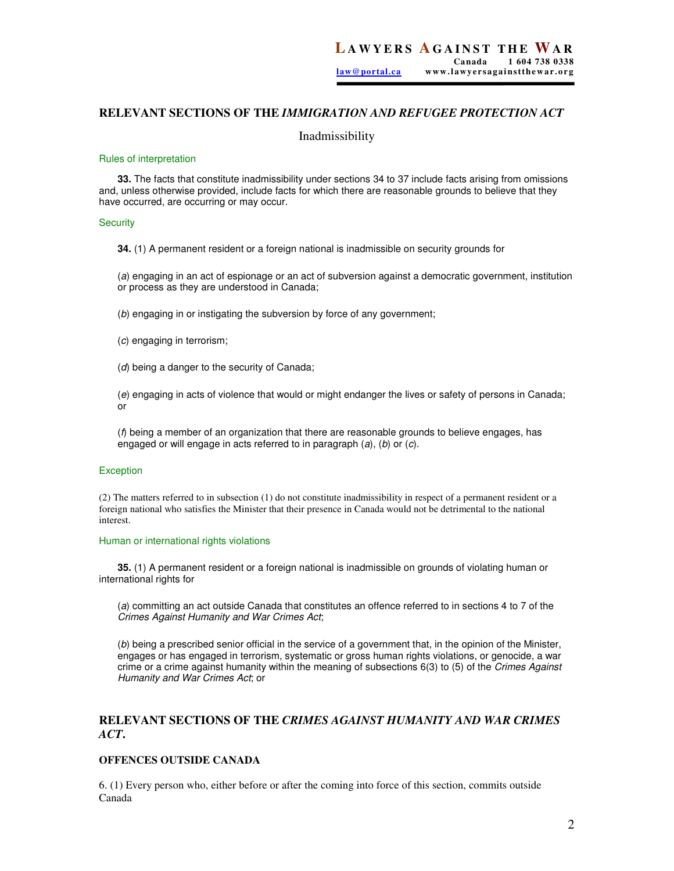## **RELEVANT SECTIONS OF THE** *IMMIGRATION AND REFUGEE PROTECTION ACT*

## Inadmissibility

### Rules of interpretation

**33.** The facts that constitute inadmissibility under sections 34 to 37 include facts arising from omissions and, unless otherwise provided, include facts for which there are reasonable grounds to believe that they have occurred, are occurring or may occur.

#### **Security**

**34.** (1) A permanent resident or a foreign national is inadmissible on security grounds for

(a) engaging in an act of espionage or an act of subversion against a democratic government, institution or process as they are understood in Canada;

(b) engaging in or instigating the subversion by force of any government;

(c) engaging in terrorism;

(d) being a danger to the security of Canada;

(e) engaging in acts of violence that would or might endanger the lives or safety of persons in Canada; or

(f) being a member of an organization that there are reasonable grounds to believe engages, has engaged or will engage in acts referred to in paragraph (a), (b) or (c).

#### **Exception**

(2) The matters referred to in subsection (1) do not constitute inadmissibility in respect of a permanent resident or a foreign national who satisfies the Minister that their presence in Canada would not be detrimental to the national interest.

#### Human or international rights violations

**35.** (1) A permanent resident or a foreign national is inadmissible on grounds of violating human or international rights for

(a) committing an act outside Canada that constitutes an offence referred to in sections 4 to 7 of the Crimes Against Humanity and War Crimes Act;

(b) being a prescribed senior official in the service of a government that, in the opinion of the Minister, engages or has engaged in terrorism, systematic or gross human rights violations, or genocide, a war crime or a crime against humanity within the meaning of subsections 6(3) to (5) of the Crimes Against Humanity and War Crimes Act; or

# **RELEVANT SECTIONS OF THE** *CRIMES AGAINST HUMANITY AND WAR CRIMES ACT***.**

## **OFFENCES OUTSIDE CANADA**

6. (1) Every person who, either before or after the coming into force of this section, commits outside Canada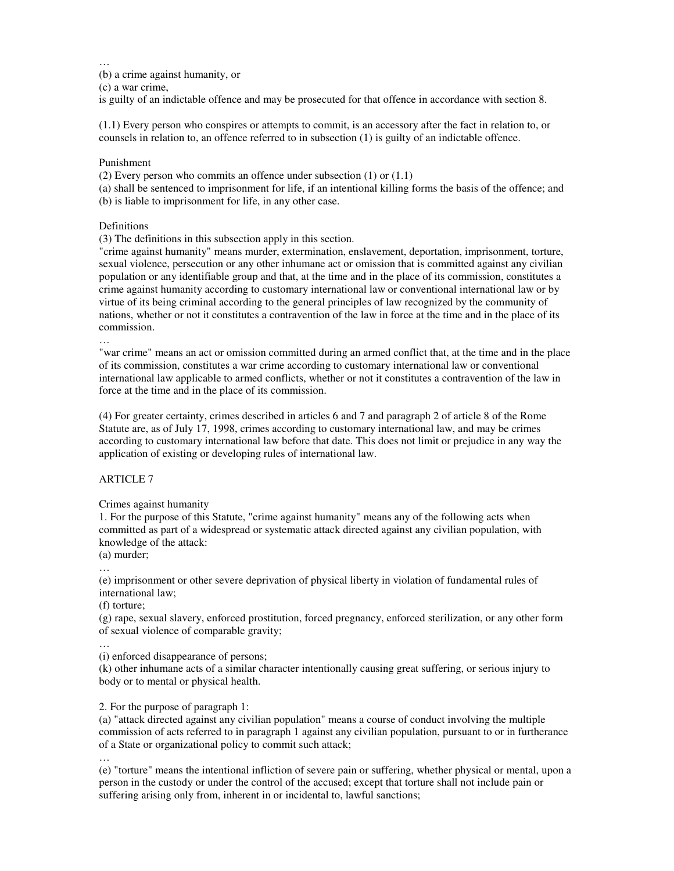…

(b) a crime against humanity, or

(c) a war crime,

is guilty of an indictable offence and may be prosecuted for that offence in accordance with section 8.

(1.1) Every person who conspires or attempts to commit, is an accessory after the fact in relation to, or counsels in relation to, an offence referred to in subsection (1) is guilty of an indictable offence.

#### Punishment

(2) Every person who commits an offence under subsection (1) or (1.1)

(a) shall be sentenced to imprisonment for life, if an intentional killing forms the basis of the offence; and (b) is liable to imprisonment for life, in any other case.

#### Definitions

(3) The definitions in this subsection apply in this section.

"crime against humanity" means murder, extermination, enslavement, deportation, imprisonment, torture, sexual violence, persecution or any other inhumane act or omission that is committed against any civilian population or any identifiable group and that, at the time and in the place of its commission, constitutes a crime against humanity according to customary international law or conventional international law or by virtue of its being criminal according to the general principles of law recognized by the community of nations, whether or not it constitutes a contravention of the law in force at the time and in the place of its commission.

…

"war crime" means an act or omission committed during an armed conflict that, at the time and in the place of its commission, constitutes a war crime according to customary international law or conventional international law applicable to armed conflicts, whether or not it constitutes a contravention of the law in force at the time and in the place of its commission.

(4) For greater certainty, crimes described in articles 6 and 7 and paragraph 2 of article 8 of the Rome Statute are, as of July 17, 1998, crimes according to customary international law, and may be crimes according to customary international law before that date. This does not limit or prejudice in any way the application of existing or developing rules of international law.

## ARTICLE 7

Crimes against humanity

1. For the purpose of this Statute, "crime against humanity" means any of the following acts when committed as part of a widespread or systematic attack directed against any civilian population, with knowledge of the attack:

(a) murder; …

(e) imprisonment or other severe deprivation of physical liberty in violation of fundamental rules of international law;

## (f) torture;

(g) rape, sexual slavery, enforced prostitution, forced pregnancy, enforced sterilization, or any other form of sexual violence of comparable gravity;

…

…

(i) enforced disappearance of persons;

(k) other inhumane acts of a similar character intentionally causing great suffering, or serious injury to body or to mental or physical health.

2. For the purpose of paragraph 1:

(a) "attack directed against any civilian population" means a course of conduct involving the multiple commission of acts referred to in paragraph 1 against any civilian population, pursuant to or in furtherance of a State or organizational policy to commit such attack;

(e) "torture" means the intentional infliction of severe pain or suffering, whether physical or mental, upon a person in the custody or under the control of the accused; except that torture shall not include pain or suffering arising only from, inherent in or incidental to, lawful sanctions;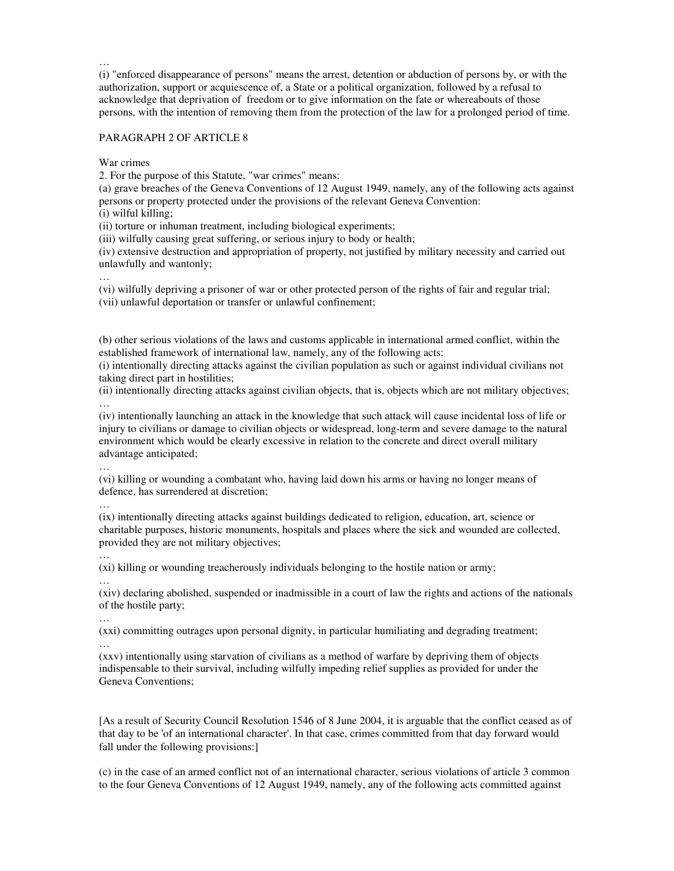(i) "enforced disappearance of persons" means the arrest, detention or abduction of persons by, or with the authorization, support or acquiescence of, a State or a political organization, followed by a refusal to acknowledge that deprivation of freedom or to give information on the fate or whereabouts of those persons, with the intention of removing them from the protection of the law for a prolonged period of time.

## PARAGRAPH 2 OF ARTICLE 8

War crimes

…

2. For the purpose of this Statute, "war crimes" means:

(a) grave breaches of the Geneva Conventions of 12 August 1949, namely, any of the following acts against persons or property protected under the provisions of the relevant Geneva Convention:

(i) wilful killing;

(ii) torture or inhuman treatment, including biological experiments;

(iii) wilfully causing great suffering, or serious injury to body or health;

(iv) extensive destruction and appropriation of property, not justified by military necessity and carried out unlawfully and wantonly;

…

(vi) wilfully depriving a prisoner of war or other protected person of the rights of fair and regular trial; (vii) unlawful deportation or transfer or unlawful confinement;

(b) other serious violations of the laws and customs applicable in international armed conflict, within the established framework of international law, namely, any of the following acts:

(i) intentionally directing attacks against the civilian population as such or against individual civilians not taking direct part in hostilities;

(ii) intentionally directing attacks against civilian objects, that is, objects which are not military objectives; …

(iv) intentionally launching an attack in the knowledge that such attack will cause incidental loss of life or injury to civilians or damage to civilian objects or widespread, long-term and severe damage to the natural environment which would be clearly excessive in relation to the concrete and direct overall military advantage anticipated;

…

…

(vi) killing or wounding a combatant who, having laid down his arms or having no longer means of defence, has surrendered at discretion;

(ix) intentionally directing attacks against buildings dedicated to religion, education, art, science or charitable purposes, historic monuments, hospitals and places where the sick and wounded are collected, provided they are not military objectives;

… (xi) killing or wounding treacherously individuals belonging to the hostile nation or army;

(xiv) declaring abolished, suspended or inadmissible in a court of law the rights and actions of the nationals of the hostile party;

(xxi) committing outrages upon personal dignity, in particular humiliating and degrading treatment;

…

…

…

(xxv) intentionally using starvation of civilians as a method of warfare by depriving them of objects indispensable to their survival, including wilfully impeding relief supplies as provided for under the Geneva Conventions;

[As a result of Security Council Resolution 1546 of 8 June 2004, it is arguable that the conflict ceased as of that day to be 'of an international character'. In that case, crimes committed from that day forward would fall under the following provisions:]

(c) in the case of an armed conflict not of an international character, serious violations of article 3 common to the four Geneva Conventions of 12 August 1949, namely, any of the following acts committed against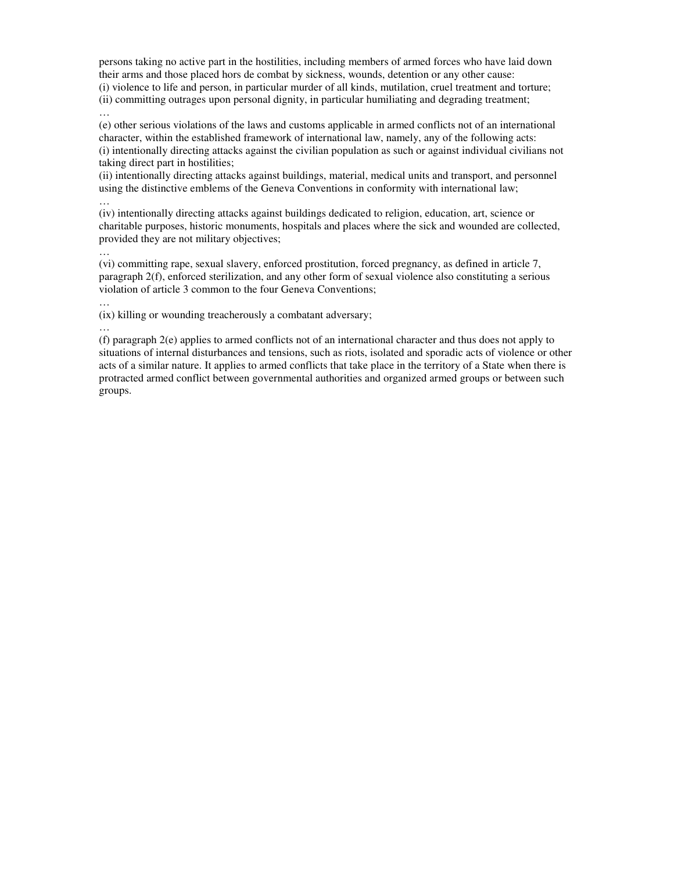persons taking no active part in the hostilities, including members of armed forces who have laid down their arms and those placed hors de combat by sickness, wounds, detention or any other cause:

(i) violence to life and person, in particular murder of all kinds, mutilation, cruel treatment and torture; (ii) committing outrages upon personal dignity, in particular humiliating and degrading treatment;

…

(e) other serious violations of the laws and customs applicable in armed conflicts not of an international character, within the established framework of international law, namely, any of the following acts: (i) intentionally directing attacks against the civilian population as such or against individual civilians not taking direct part in hostilities;

(ii) intentionally directing attacks against buildings, material, medical units and transport, and personnel using the distinctive emblems of the Geneva Conventions in conformity with international law; …

(iv) intentionally directing attacks against buildings dedicated to religion, education, art, science or charitable purposes, historic monuments, hospitals and places where the sick and wounded are collected, provided they are not military objectives;

…

…

(vi) committing rape, sexual slavery, enforced prostitution, forced pregnancy, as defined in article 7, paragraph 2(f), enforced sterilization, and any other form of sexual violence also constituting a serious violation of article 3 common to the four Geneva Conventions;

… (ix) killing or wounding treacherously a combatant adversary;

(f) paragraph 2(e) applies to armed conflicts not of an international character and thus does not apply to situations of internal disturbances and tensions, such as riots, isolated and sporadic acts of violence or other acts of a similar nature. It applies to armed conflicts that take place in the territory of a State when there is protracted armed conflict between governmental authorities and organized armed groups or between such groups.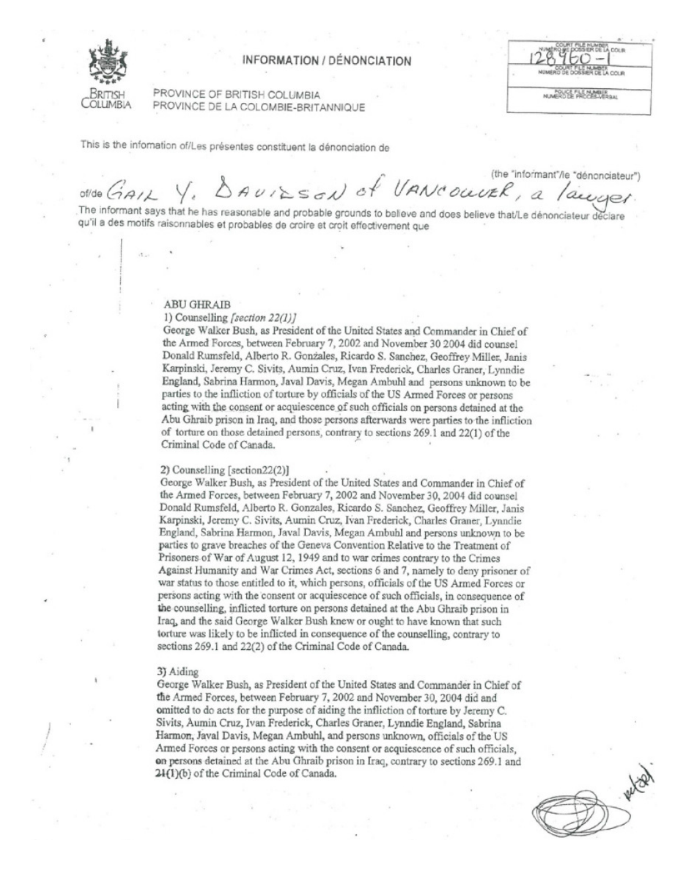

## **INFORMATION / DÉNONCIATION**

#### PROVINCE OF BRITISH COLUMBIA (i) fails to exercise control property over a person under a person under the control or effective community community control or effective community community community community community community community control or e authority and control, and as a result the person commits an offence under section 4, or

the matter to the competent authorities for investigation and prosecution.

|   |                     |                 | <b>COUR</b>  |  |
|---|---------------------|-----------------|--------------|--|
|   | ಯು<br>mu.           |                 |              |  |
| ٠ | NUMERO DE DOSSIER   |                 | <b>COLIB</b> |  |
|   | ma<br><b>NUMERD</b> | <b>LEN MBER</b> |              |  |

 $\mathbf{r}$  the information  $\mathbf{r}$  effective and control or effective authority and as a result the person of persons of persons and as a result the persons as a result to persons a result the persons as a result the perso communication offices presentes c

 $\overline{a}$  is committed such an offence; and offence; and offence; and offence; and offence; and offence; and offence; and offence; and offence; and offence; and offence; and offence; and offence; and offence; and offence;  $6au \vee \triangle$ Aus  $\sum_{i=1}^{n}$ 

informant says that he has reasonable and probable grounds to believe and does believe that/Le denor qu'il a des motifs raisonnables et probables de croire et croit effectivement que

#### ABU GHRAIB

 $\mathcal{X}$  superior committee if an indictable of  $\mathcal{X}$ 

Breach of responsibility by a superior

 $\mathbf{1}$  the superior, outside  $\mathbf{1}$ 

#### 1) Counselling [section  $22(1)$ ]

George Walker Bush, as President of the United States and Commander in Chief of the Armed Forces, between February 7, 2002 and November 30 2004 did counsel Donald Rumsfeld, Alberto R. Gonzales, Ricardo S. Sanchez, Geoffrey Miller, Janis Karpinski, Jeremy C. Sivits, Aumin Cruz, Ivan Frederick, Charles Graner, Lynndie England, Sabrina Harmon, Javal Davis, Megan Ambuhl and persons unknown to be parties to the infliction of torture by officials of the US Armed Forces or persons acting with the consent or acquiescence of such officials on persons detained at the Abu Ghraib prison in Iraq, and those persons afterwards were parties to the infliction of torture on those detained persons, contrary to sections 269.1 and 22(1) of the Criminal Code of Canada.

#### 2) Counselling [section22(2)]

"superior" means a person in authority, other than a military commander.

George Walker Bush, as President of the United States and Commander in Chief of the Armed Forces, between February 7, 2002 and November 30, 2004 did counsel Donald Rumsfeld, Alberto R. Gonzales, Ricardo S. Sanchez, Geoffrey Miller, Janis Karpinski, Jeremy C. Sivits, Aumin Cruz, Ivan Frederick, Charles Graner, Lynndie England, Sabrina Harmon, Javal Davis, Megan Ambuhl and persons unknown to be parties to grave breaches of the Geneva Convention Relative to the Treatment of Prisoners of War of August 12, 1949 and to war crimes contrary to the Crimes Against Humanity and War Crimes Act, sections 6 and 7, namely to deny prisoner of war status to those entitled to it, which persons, officials of the US Armed Forces or persons acting with the consent or acquiescence of such officials, in consequence of the counselling, inflicted torture on persons detained at the Abu Ghraib prison in Iraq, and the said George Walker Bush knew or ought to have known that such torture was likely to be inflicted in consequence of the counselling, contrary to sections 269.1 and 22(2) of the Criminal Code of Canada.

#### 3) Aiding

George Walker Bush, as President of the United States and Commander in Chief of the Armed Forces, between February 7, 2002 and November 30, 2004 did and omitted to do acts for the purpose of aiding the infliction of torture by Jeremy C. Sivits, Aumin Cruz, Ivan Frederick, Charles Graner, Lynndie England, Sabrina Harmon, Javal Davis, Megan Ambuhl, and persons unknown, officials of the US Armed Forces or persons acting with the consent or acquiescence of such officials, on persons detained at the Abu Ghraib prison in Iraq, contrary to sections 269.1 and 24(1)(b) of the Criminal Code of Canada.